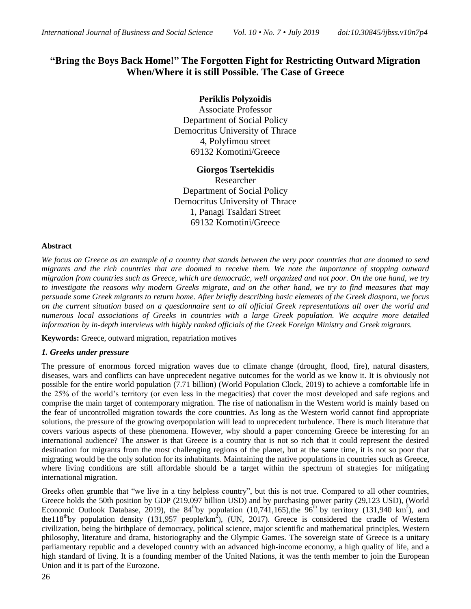# **"Bring the Boys Back Home!" The Forgotten Fight for Restricting Outward Migration When/Where it is still Possible. The Case of Greece**

## **Periklis Polyzoidis**

Associate Professor Department of Social Policy Democritus University of Thrace 4, Polyfimou street 69132 Komotini/Greece

## **Giorgos Tsertekidis**

Researcher Department of Social Policy Democritus University of Thrace 1, Panagi Tsaldari Street 69132 Komotini/Greece

#### **Abstract**

*We focus on Greece as an example of a country that stands between the very poor countries that are doomed to send migrants and the rich countries that are doomed to receive them. We note the importance of stopping outward migration from countries such as Greece, which are democratic, well organized and not poor. On the one hand, we try to investigate the reasons why modern Greeks migrate, and on the other hand, we try to find measures that may persuade some Greek migrants to return home. After briefly describing basic elements of the Greek diaspora, we focus on the current situation based on a questionnaire sent to all official Greek representations all over the world and numerous local associations of Greeks in countries with a large Greek population. We acquire more detailed information by in-depth interviews with highly ranked officials of the Greek Foreign Ministry and Greek migrants.*

**Keywords:** Greece, outward migration, repatriation motives

## *1. Greeks under pressure*

The pressure of enormous forced migration waves due to climate change (drought, flood, fire), natural disasters, diseases, wars and conflicts can have unprecedent negative outcomes for the world as we know it. It is obviously not possible for the entire world population (7.71 billion) (World Population Clock, 2019) to achieve a comfortable life in the 25% of the world's territory (or even less in the megacities) that cover the most developed and safe regions and comprise the main target of contemporary migration. The rise of nationalism in the Western world is mainly based on the fear of uncontrolled migration towards the core countries. As long as the Western world cannot find appropriate solutions, the pressure of the growing overpopulation will lead to unprecedent turbulence. There is much literature that covers various aspects of these phenomena. However, why should a paper concerning Greece be interesting for an international audience? The answer is that Greece is a country that is not so rich that it could represent the desired destination for migrants from the most challenging regions of the planet, but at the same time, it is not so poor that migrating would be the only solution for its inhabitants. Maintaining the native populations in countries such as Greece, where living conditions are still affordable should be a target within the spectrum of strategies for mitigating international migration.

Greeks often grumble that "we live in a tiny helpless country", but this is not true. Compared to all other countries, Greece holds the 50th position by GDP (219,097 billion USD) and by purchasing power parity (29,123 USD), (World Economic Outlook Database, 2019), the  $84^{\text{th}}$ by population (10,741,165),the  $96^{\text{th}}$  by territory (131,940 km<sup>2</sup>), and the 118<sup>th</sup>by population density (131,957 people/km<sup>2</sup>), (UN, 2017). Greece is considered the cradle of Western civilization, being the birthplace of democracy, political science, major scientific and mathematical principles, Western philosophy, literature and drama, historiography and the Olympic Games. The sovereign state of Greece is a unitary parliamentary republic and a developed country with an advanced high-income economy, a high quality of life, and a high standard of living. It is a founding member of the United Nations, it was the tenth member to join the European Union and it is part of the Eurozone.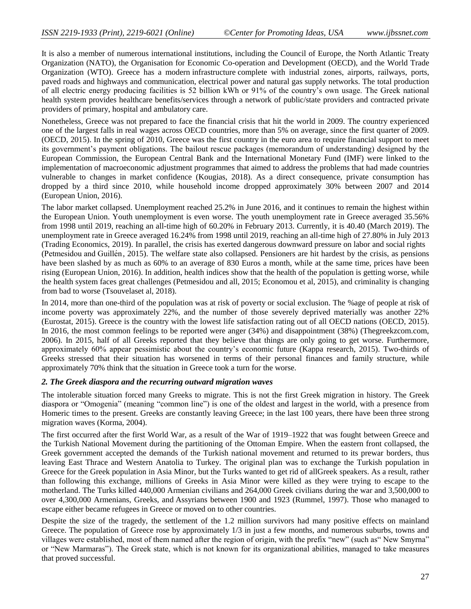It is also a member of numerous international institutions, including the Council of Europe, the North Atlantic Treaty Organization (NATO), the Organisation for Economic Co-operation and Development (OECD), and the World Trade Organization (WTO). Greece has a modern infrastructure complete with industrial zones, airports, railways, ports, paved roads and highways and communication, electrical power and natural gas supply networks. The total production of all electric energy producing facilities is 52 billion kWh or 91% of the country's own usage. The Greek national health system provides healthcare benefits/services through a network of public/state providers and contracted private providers of primary, hospital and ambulatory care.

Nonetheless, Greece was not prepared to face the financial crisis that hit the world in 2009. The country experienced one of the largest falls in real wages across OECD countries, more than 5% on average, since the first quarter of 2009. (OECD, 2015). In the spring of 2010, Greece was the first country in the euro area to require financial support to meet its government's payment obligations. The bailout rescue packages (memorandum of understanding) designed by the European Commission, the European Central Bank and the International Monetary Fund (IMF) were linked to the implementation of macroeconomic adjustment programmes that aimed to address the problems that had made countries vulnerable to changes in market confidence (Kougias, 2018). As a direct consequence, private consumption has dropped by a third since 2010, while household income dropped approximately 30% between 2007 and 2014 (European Union, 2016).

The labor market collapsed. Unemployment reached [25.2%](http://www.statistics.gr/portal/page/portal/ESYE/BUCKET/A0101/PressReleases/A0101_SJO02_DT_MM_06_2015_01_F_GR.pdf) in June 2016, and it continues to remain the highest within the European Union. Youth unemployment is even worse. The youth unemployment rate in Greece averaged 35.56% from 1998 until 2019, reaching an all-time high of 60.20% in February 2013. Currently, it is 40.40 (March 2019). The unemployment rate in Greece averaged 16.24% from 1998 until 2019, reaching an all-time high of 27.80% in July 2013 (Trading Economics, 2019). In parallel, the crisis has exerted dangerous downward pressure on labor and social rights (Petmesidou and Guillén, 2015). The welfare state also collapsed. Pensioners are hit hardest by the crisis, as pensions have been slashed by as much as 60% to an average of 830 Euros a month, while at the same time, prices have been rising (European Union, 2016). In addition, health indices show that the health of the population is getting worse, while the health system faces great challenges (Petmesidou and all, 2015; Economou et al, 2015), and criminality is changing from bad to worse (Tsouvelaset al, 2018).

In 2014, more than one-third of the population was at risk of poverty or social exclusion. The %age of people at risk of income poverty was approximately 22%, and the number of those severely deprived materially was another 22% (Eurostat, 2015). Greece is the country with the lowest life satisfaction rating out of all OECD nations (OECD, 2015). In 2016, the most common feelings to be reported were anger (34%) and disappointment (38%) (Thegreekzcom.com, 2006). In 2015, half of all Greeks reported that they believe that things are only going to get worse. Furthermore, approximately 60% appear pessimistic about the country's economic future (Kappa research, 2015). Two-thirds of Greeks stressed that their situation has worsened in terms of their personal finances and family structure, while approximately 70% think that the situation in Greece took a turn for the worse.

#### *2. The Greek diaspora and the recurring outward migration waves*

The intolerable situation forced many Greeks to migrate. This is not the first Greek migration in history. The Greek diaspora or "Omogenia" (meaning "common line") is one of the oldest and largest in the world, with a presence from Homeric times to the present. Greeks are constantly leaving Greece; in the last 100 years, there have been three strong migration waves (Korma, 2004).

The first occurred after the first World War, as a result of the War of 1919–1922 that was fought between Greece and the Turkish National Movement during the partitioning of the Ottoman Empire. When the eastern front collapsed, the Greek government accepted the demands of the Turkish national movement and returned to its prewar borders, thus leaving East Thrace and Western Anatolia to Turkey. The original plan was to exchange the Turkish population in Greece for the Greek population in Asia Minor, but the Turks wanted to get rid of allGreek speakers. As a result, rather than following this exchange, millions of Greeks in Asia Minor were killed as they were trying to escape to the motherland. The Turks killed 440,000 Armenian civilians and 264,000 Greek civilians during the war and 3,500,000 to over 4,300,000 Armenians, Greeks, and Assyrians between 1900 and 1923 (Rummel, 1997). Those who managed to escape either became refugees in Greece or moved on to other countries.

Despite the size of the tragedy, the settlement of the 1.2 million survivors had many positive effects on mainland Greece. The population of Greece rose by approximately 1/3 in just a few months, and numerous suburbs, towns and villages were established, most of them named after the region of origin, with the prefix "new" (such as" New Smyrna" or "New Marmaras"). The Greek state, which is not known for its organizational abilities, managed to take measures that proved successful.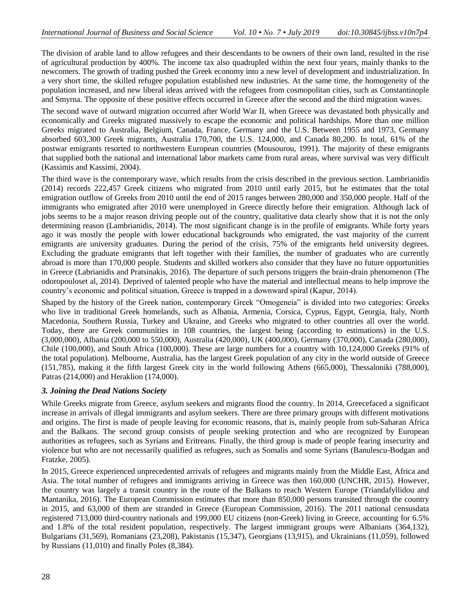The division of arable land to allow refugees and their descendants to be owners of their own land, resulted in the rise of agricultural production by 400%. The income tax also quadrupled within the next four years, mainly thanks to the newcomers. The growth of trading pushed the Greek economy into a new level of development and industrialization. In a very short time, the skilled refugee population established new industries. At the same time, the homogeneity of the population increased, and new liberal ideas arrived with the refugees from cosmopolitan cities, such as Constantinople and Smyrna. The opposite of these positive effects occurred in Greece after the second and the third migration waves.

The second wave of outward migration occurred after World War II, when Greece was devastated both physically and economically and Greeks migrated massively to escape the economic and political hardships. More than one million Greeks migrated to Australia, Belgium, Canada, France, Germany and the U.S. Between 1955 and 1973, Germany absorbed 603,300 Greek migrants, Australia 170,700, the U.S. 124,000, and Canada 80,200. In total, 61% of the postwar emigrants resorted to northwestern European countries (Mousourou, 1991). The majority of these emigrants that supplied both the national and international labor markets came from rural areas, where survival was very difficult (Kassimis and Kassimi, 2004).

The third wave is the contemporary wave, which results from the crisis described in the previous section. Lambrianidis (2014) records 222,457 Greek citizens who migrated from 2010 until early 2015, but he estimates that the total emigration outflow of Greeks from 2010 until the end of 2015 ranges between 280,000 and 350,000 people. Half of the immigrants who emigrated after 2010 were unemployed in Greece directly before their emigration. Although lack of jobs seems to be a major reason driving people out of the country, qualitative data clearly show that it is not the only determining reason (Lambrianidis, 2014). The most significant change is in the profile of emigrants. While forty years ago it was mostly the people with lower educational backgrounds who emigrated, the vast majority of the current emigrants are university graduates. During the period of the crisis, 75% of the emigrants held university degrees. Excluding the graduate emigrants that left together with their families, the number of graduates who are currently abroad is more than 170,000 people. Students and skilled workers also consider that they have no future opportunities in Greece (Labrianidis and Pratsinakis, 2016). The departure of such persons triggers the brain-drain phenomenon (The odoropouloset al, 2014). Deprived of talented people who have the material and intellectual means to help improve the country's economic and political situation, Greece is trapped in a downward spiral (Kapur, 2014).

Shaped by the history of the Greek nation, contemporary Greek "Omogeneia" is divided into two categories: Greeks who live in traditional Greek homelands, such as Albania, Armenia, Corsica, Cyprus, Egypt, Georgia, Italy, North Macedonia, Southern Russia, Turkey and Ukraine, and Greeks who migrated to other countries all over the world. Today, there are Greek communities in 108 countries, the largest being (according to estimations) in the U.S. (3,000,000), Albania (200,000 to 550,000), Australia (420,000), UK (400,000), Germany (370,000), Canada (280,000), Chile (100,000), and South Africa (100,000). These are large numbers for a country with 10,124,000 Greeks (91% of the total population). Melbourne, Australia, has the largest Greek population of any city in the world outside of Greece (151,785), making it the fifth largest Greek city in the world following Athens (665,000), Thessaloniki (788,000), Patras (214,000) and Heraklion (174,000).

## *3. Joining the Dead Nations Society*

While Greeks migrate from Greece, asylum seekers and migrants flood the country. In 2014, Greecefaced a significant increase in arrivals of illegal immigrants and asylum seekers. There are three primary groups with different motivations and origins. The first is made of people leaving for economic reasons, that is, mainly people from sub-Saharan Africa and the Balkans. The second group consists of people seeking protection and who are recognized by European authorities as refugees, such as Syrians and Eritreans. Finally, the third group is made of people fearing insecurity and violence but who are not necessarily qualified as refugees, such as Somalis and some Syrians (Banulescu-Bodgan and Fratzke, 2005).

In 2015, Greece experienced unprecedented arrivals of refugees and migrants mainly from the Middle East, Africa and Asia. The total number of refugees and immigrants arriving in Greece was then 160,000 (UNCHR, 2015). However, the country was largely a transit country in the route of the Balkans to reach Western Europe (Triandafyllidou and Mantanika, 2016). The European Commission estimates that more than 850,000 persons transited through the country in 2015, and 63,000 of them are stranded in Greece (European Commission, 2016). The 2011 national censusdata registered 713,000 third-country nationals and 199,000 EU citizens (non-Greek) living in Greece, accounting for 6.5% and 1.8% of the total resident population, respectively. The largest immigrant groups were Albanians (364,132), Bulgarians (31,569), Romanians (23,208), Pakistanis (15,347), Georgians (13,915), and Ukrainians (11,059), followed by Russians (11,010) and finally Poles (8,384).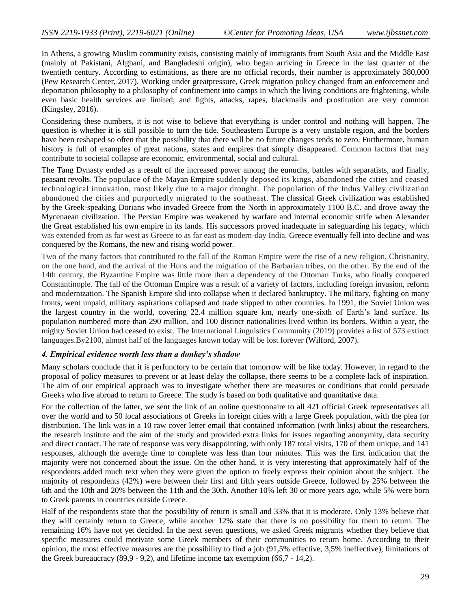In Athens, a growing Muslim community exists, consisting mainly of immigrants from South Asia and the Middle East (mainly of Pakistani, Afghani, and Bangladeshi origin), who began arriving in Greece in the last quarter of the twentieth century. According to estimations, as there are no official records, their number is approximately 380,000 (Pew Research Center, 2017). Working under greatpressure, Greek migration policy changed from an enforcement and deportation philosophy to a philosophy of confinement into camps in which the living conditions are frightening, while even basic health services are limited, and fights, attacks, rapes, blackmails and prostitution are very common (Kingsley, 2016).

Considering these numbers, it is not wise to believe that everything is under control and nothing will happen. The question is whether it is still possible to turn the tide. Southeastern Europe is a very unstable region, and the borders have been reshaped so often that the possibility that there will be no future changes tends to zero. Furthermore, human history is full of examples of great nations, states and empires that simply disappeared. Common factors that may contribute to societal collapse are economic, environmental, social and cultural.

The Tang Dynasty ended as a result of the increased power among the eunuchs, battles with separatists, and finally, peasant revolts. The populace of the Mayan Empire suddenly deposed its kings, abandoned the cities and ceased technological innovation, most likely due to a major drought. The population of the Indus Valley civilization abandoned the cities and purportedly migrated to the southeast. The classical Greek civilization was established by the Greek-speaking Dorians who invaded Greece from the North in approximately 1100 B.C. and drove away the Mycenaean civilization. The Persian Empire was weakened by warfare and internal economic strife when Alexander the Great established his own empire in its lands. His successors proved inadequate in safeguarding his legacy, which was extended from as far west as Greece to as far east as modern-day India. Greece eventually fell into decline and was conquered by the Romans, the new and rising world power.

Two of the many factors that contributed to the fall of the Roman Empire were the rise of a new religion, Christianity, on the one hand, and the arrival of the Huns and the migration of the Barbarian tribes, on the other. By the end of the 14th century, the Byzantine Empire was little more than a dependency of the Ottoman Turks, who finally conquered Constantinople. The fall of the Ottoman Empire was a result of a variety of factors, including foreign invasion, reform and modernization. The Spanish Empire slid into collapse when it declared bankruptcy. The military, fighting on many fronts, went unpaid, military aspirations collapsed and trade slipped to other countries. In 1991, the Soviet Union was the largest country in the world, covering 22.4 million square km, nearly one-sixth of Earth's land surface. Its population numbered more than 290 million, and 100 distinct nationalities lived within its borders. Within a year, the mighty Soviet Union had ceased to exist. The International Linguistics Community (2019) provides a list of 573 extinct languages.By2100, almost half of the languages known today will be lost forever (Wilford, 2007).

#### *4. Empirical evidence worth less than a donkey's shadow*

Many scholars conclude that it is perfunctory to be certain that tomorrow will be like today. However, in regard to the proposal of policy measures to prevent or at least delay the collapse, there seems to be a complete lack of inspiration. The aim of our empirical approach was to investigate whether there are measures or conditions that could persuade Greeks who live abroad to return to Greece. The study is based on both qualitative and quantitative data.

For the collection of the latter, we sent the link of an online questionnaire to all 421 official Greek representatives all over the world and to 50 local associations of Greeks in foreign cities with a large Greek population, with the plea for distribution. The link was in a 10 raw cover letter email that contained information (with links) about the researchers, the research institute and the aim of the study and provided extra links for issues regarding anonymity, data security and direct contact. The rate of response was very disappointing, with only 187 total visits, 170 of them unique, and 141 responses, although the average time to complete was less than four minutes. This was the first indication that the majority were not concerned about the issue. On the other hand, it is very interesting that approximately half of the respondents added much text when they were given the option to freely express their opinion about the subject. The majority of respondents (42%) were between their first and fifth years outside Greece, followed by 25% between the 6th and the 10th and 20% between the 11th and the 30th. Another 10% left 30 or more years ago, while 5% were born to Greek parents in countries outside Greece.

Half of the respondents state that the possibility of return is small and 33% that it is moderate. Only 13% believe that they will certainly return to Greece, while another 12% state that there is no possibility for them to return. The remaining 16% have not yet decided. In the next seven questions, we asked Greek migrants whether they believe that specific measures could motivate some Greek members of their communities to return home. According to their opinion, the most effective measures are the possibility to find a job (91,5% effective, 3,5% ineffective), limitations of the Greek bureaucracy (89,9 - 9,2), and lifetime income tax exemption (66,7 - 14,2).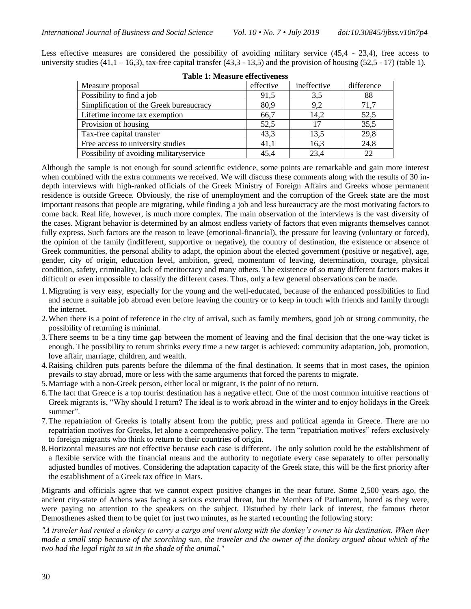| <b>Table 1: Measure effectiveness</b>   |           |             |            |
|-----------------------------------------|-----------|-------------|------------|
| Measure proposal                        | effective | ineffective | difference |
| Possibility to find a job               | 91,5      | 3.5         | 88         |
| Simplification of the Greek bureaucracy | 80,9      | 9.2         | 71,7       |
| Lifetime income tax exemption           | 66,7      | 14,2        | 52,5       |
| Provision of housing                    | 52,5      | 17          | 35,5       |
| Tax-free capital transfer               | 43,3      | 13,5        | 29,8       |
| Free access to university studies       | 41,1      | 16,3        | 24,8       |
| Possibility of avoiding militaryservice | 45.4      | 23,4        | 22         |

Less effective measures are considered the possibility of avoiding military service (45,4 - 23,4), free access to university studies (41,1 – 16,3), tax-free capital transfer (43,3 - 13,5) and the provision of housing (52,5 - 17) (table 1).

Although the sample is not enough for sound scientific evidence, some points are remarkable and gain more interest when combined with the extra comments we received. We will discuss these comments along with the results of 30 indepth interviews with high-ranked officials of the Greek Ministry of Foreign Affairs and Greeks whose permanent residence is outside Greece. Obviously, the rise of unemployment and the corruption of the Greek state are the most important reasons that people are migrating, while finding a job and less bureaucracy are the most motivating factors to come back. Real life, however, is much more complex. The main observation of the interviews is the vast diversity of the cases. Migrant behavior is determined by an almost endless variety of factors that even migrants themselves cannot fully express. Such factors are the reason to leave (emotional-financial), the pressure for leaving (voluntary or forced), the opinion of the family (indifferent, supportive or negative), the country of destination, the existence or absence of Greek communities, the personal ability to adapt, the opinion about the elected government (positive or negative), age, gender, city of origin, education level, ambition, greed, momentum of leaving, determination, courage, physical condition, safety, criminality, lack of meritocracy and many others. The existence of so many different factors makes it difficult or even impossible to classify the different cases. Thus, only a few general observations can be made.

- 1.Migrating is very easy, especially for the young and the well-educated, because of the enhanced possibilities to find and secure a suitable job abroad even before leaving the country or to keep in touch with friends and family through the internet.
- 2.When there is a point of reference in the city of arrival, such as family members, good job or strong community, the possibility of returning is minimal.
- 3.There seems to be a tiny time gap between the moment of leaving and the final decision that the one-way ticket is enough. The possibility to return shrinks every time a new target is achieved: community adaptation, job, promotion, love affair, marriage, children, and wealth.
- 4.Raising children puts parents before the dilemma of the final destination. It seems that in most cases, the opinion prevails to stay abroad, more or less with the same arguments that forced the parents to migrate.
- 5.Marriage with a non-Greek person, either local or migrant, is the point of no return.
- 6.The fact that Greece is a top tourist destination has a negative effect. One of the most common intuitive reactions of Greek migrants is, "Why should I return? The ideal is to work abroad in the winter and to enjoy holidays in the Greek summer".
- 7.The repatriation of Greeks is totally absent from the public, press and political agenda in Greece. There are no repatriation motives for Greeks, let alone a comprehensive policy. The term "repatriation motives" refers exclusively to foreign migrants who think to return to their countries of origin.
- 8.Horizontal measures are not effective because each case is different. The only solution could be the establishment of a flexible service with the financial means and the authority to negotiate every case separately to offer personally adjusted bundles of motives. Considering the adaptation capacity of the Greek state, this will be the first priority after the establishment of a Greek tax office in Mars.

Migrants and officials agree that we cannot expect positive changes in the near future. Some 2,500 years ago, the ancient city-state of Athens was facing a serious external threat, but the Members of Parliament, bored as they were, were paying no attention to the speakers on the subject. Disturbed by their lack of interest, the famous rhetor Demosthenes asked them to be quiet for just two minutes, as he started recounting the following story:

*"A traveler had rented a donkey to carry a cargo and went along with the donkey's owner to his destination. When they made a small stop because of the scorching sun, the traveler and the owner of the donkey argued about which of the two had the legal right to sit in the shade of the animal."*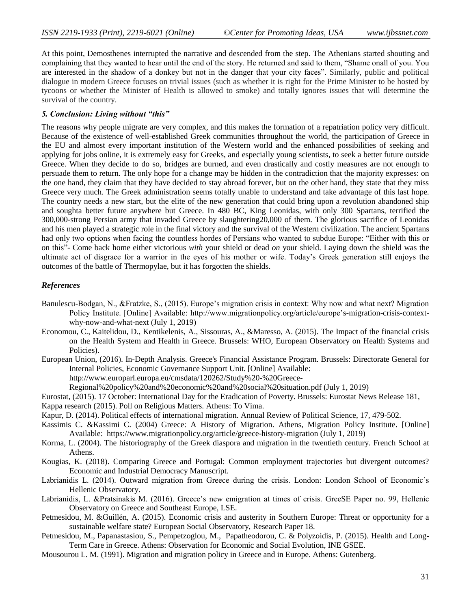At this point, Demosthenes interrupted the narrative and descended from the step. The Athenians started shouting and complaining that they wanted to hear until the end of the story. He returned and said to them, "Shame onall of you. You are interested in the shadow of a donkey but not in the danger that your city faces". Similarly, public and political dialogue in modern Greece focuses on trivial issues (such as whether it is right for the Prime Minister to be hosted by tycoons or whether the Minister of Health is allowed to smoke) and totally ignores issues that will determine the survival of the country.

#### *5. Conclusion: Living without "this"*

The reasons why people migrate are very complex, and this makes the formation of a repatriation policy very difficult. Because of the existence of well-established Greek communities throughout the world, the participation of Greece in the EU and almost every important institution of the Western world and the enhanced possibilities of seeking and applying for jobs online, it is extremely easy for Greeks, and especially young scientists, to seek a better future outside Greece. When they decide to do so, bridges are burned, and even drastically and costly measures are not enough to persuade them to return. The only hope for a change may be hidden in the contradiction that the majority expresses: on the one hand, they claim that they have decided to stay abroad forever, but on the other hand, they state that they miss Greece very much. The Greek administration seems totally unable to understand and take advantage of this last hope. The country needs a new start, but the elite of the new generation that could bring upon a revolution abandoned ship and soughta better future anywhere but Greece. In 480 BC, King Leonidas, with only 300 Spartans, terrified the 300,000-strong Persian army that invaded Greece by slaughtering20,000 of them. The glorious sacrifice of Leonidas and his men played a strategic role in the final victory and the survival of the Western civilization. The ancient Spartans had only two options when facing the countless hordes of Persians who wanted to subdue Europe: "Either with this or on this"- Come back home either victorious *with* your shield or dead *on* your shield. Laying down the shield was the ultimate act of disgrace for a warrior in the eyes of his mother or wife. Today's Greek generation still enjoys the outcomes of the battle of Thermopylae, but it has forgotten the shields.

#### *References*

- Banulescu-Bodgan, N., &Fratzke, S., (2015). Europe's migration crisis in context: Why now and what next? Migration Policy Institute. [Online] Available: http://www.migrationpolicy.org/article/europe's-migration-crisis-contextwhy-now-and-what-next (July 1, 2019)
- Economou, C., Kaitelidou, D., Kentikelenis, A., Sissouras, A., &Maresso, A. (2015). The Impact of the financial crisis on the Health System and Health in Greece. Brussels: WHO, European Observatory on Health Systems and Policies).
- European Union, (2016). In-Depth Analysis. Greece's Financial Assistance Program. Brussels: Directorate General for Internal Policies, Economic Governance Support Unit. [Online] Available: http://www.europarl.europa.eu/cmsdata/120262/Study%20-%20Greece-
	- Regional%20policy%20and%20economic%20and%20social%20situation.pdf (July 1, 2019)
- Eurostat, (2015). 17 October: International Day for the Eradication of Poverty. Brussels: Eurostat News Release 181,
- Kappa research (2015). Poll on Religious Matters. Athens: To Vima.
- Kapur, D. (2014). Political effects of international migration. Annual Review of Political Science, 17, 479-502.
- Kassimis C. &Kassimi C. (2004) Greece: A History of Migration. Athens, Migration Policy Institute. [Online] Available: https://www.migrationpolicy.org/article/greece-history-migration (July 1, 2019)
- Korma, L. (2004). The historiography of the Greek diaspora and migration in the twentieth century. French School at Athens.
- Kougias, K. (2018). Comparing Greece and Portugal: Common employment trajectories but divergent outcomes? Economic and Industrial Democracy Manuscript.
- Labrianidis L. (2014). Outward migration from Greece during the crisis. London: London School of Economic's Hellenic Observatory.
- Labrianidis, L. &Pratsinakis M. (2016). Greece's new emigration at times of crisis. GreeSE Paper no. 99, Hellenic Observatory on Greece and Southeast Europe, LSE.
- Petmesidou, M. &Guillén, A. (2015). Economic crisis and austerity in Southern Europe: Threat or opportunity for a sustainable welfare state? European Social Observatory, Research Paper 18.
- Petmesidou, M., Papanastasiou, S., Pempetzoglou, M., Papatheodorou, C. & Polyzoidis, P. (2015). Health and Long-Term Care in Greece. Athens: Observation for Economic and Social Evolution, INE GSEE.
- Mousourou L. M. (1991). Migration and migration policy in Greece and in Europe. Athens: Gutenberg.